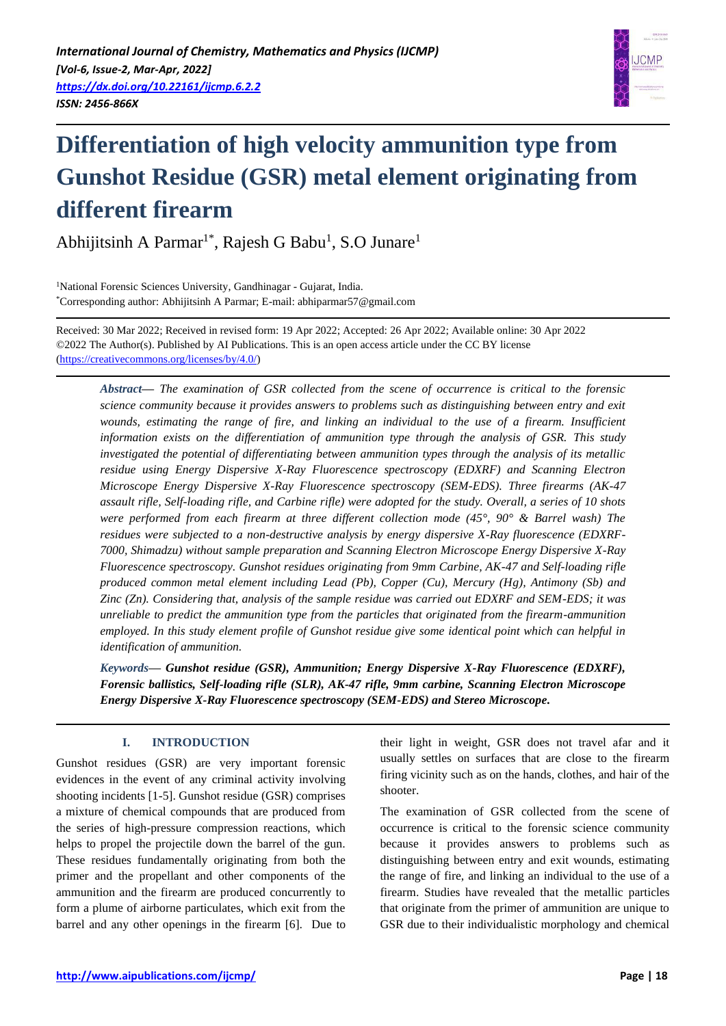

# **Differentiation of high velocity ammunition type from Gunshot Residue (GSR) metal element originating from different firearm**

Abhijitsinh A Parmar<sup>1\*</sup>, Rajesh G Babu<sup>1</sup>, S.O Junare<sup>1</sup>

<sup>1</sup>National Forensic Sciences University, Gandhinagar - Gujarat, India. \*Corresponding author: Abhijitsinh A Parmar; E-mail: abhiparmar57@gmail.com

Received: 30 Mar 2022; Received in revised form: 19 Apr 2022; Accepted: 26 Apr 2022; Available online: 30 Apr 2022 ©2022 The Author(s). Published by AI Publications. This is an open access article under the CC BY license [\(https://creativecommons.org/licenses/by/4.0/\)](https://creativecommons.org/licenses/by/4.0/)

*Abstract— The examination of GSR collected from the scene of occurrence is critical to the forensic science community because it provides answers to problems such as distinguishing between entry and exit*  wounds, estimating the range of fire, and linking an individual to the use of a firearm. Insufficient *information exists on the differentiation of ammunition type through the analysis of GSR. This study investigated the potential of differentiating between ammunition types through the analysis of its metallic residue using Energy Dispersive X-Ray Fluorescence spectroscopy (EDXRF) and Scanning Electron Microscope Energy Dispersive X-Ray Fluorescence spectroscopy (SEM-EDS). Three firearms (AK-47 assault rifle, Self-loading rifle, and Carbine rifle) were adopted for the study. Overall, a series of 10 shots were performed from each firearm at three different collection mode (45°, 90° & Barrel wash) The residues were subjected to a non-destructive analysis by energy dispersive X-Ray fluorescence (EDXRF-7000, Shimadzu) without sample preparation and Scanning Electron Microscope Energy Dispersive X-Ray Fluorescence spectroscopy. Gunshot residues originating from 9mm Carbine, AK-47 and Self-loading rifle produced common metal element including Lead (Pb), Copper (Cu), Mercury (Hg), Antimony (Sb) and Zinc (Zn). Considering that, analysis of the sample residue was carried out EDXRF and SEM-EDS; it was unreliable to predict the ammunition type from the particles that originated from the firearm-ammunition employed. In this study element profile of Gunshot residue give some identical point which can helpful in identification of ammunition.*

*Keywords— Gunshot residue (GSR), Ammunition; Energy Dispersive X-Ray Fluorescence (EDXRF), Forensic ballistics, Self-loading rifle (SLR), AK-47 rifle, 9mm carbine, Scanning Electron Microscope Energy Dispersive X-Ray Fluorescence spectroscopy (SEM-EDS) and Stereo Microscope.*

# **I. INTRODUCTION**

Gunshot residues (GSR) are very important forensic evidences in the event of any criminal activity involving shooting incidents [1-5]. Gunshot residue (GSR) comprises a mixture of chemical compounds that are produced from the series of high-pressure compression reactions, which helps to propel the projectile down the barrel of the gun. These residues fundamentally originating from both the primer and the propellant and other components of the ammunition and the firearm are produced concurrently to form a plume of airborne particulates, which exit from the barrel and any other openings in the firearm [6]. Due to their light in weight, GSR does not travel afar and it usually settles on surfaces that are close to the firearm firing vicinity such as on the hands, clothes, and hair of the shooter.

The examination of GSR collected from the scene of occurrence is critical to the forensic science community because it provides answers to problems such as distinguishing between entry and exit wounds, estimating the range of fire, and linking an individual to the use of a firearm. Studies have revealed that the metallic particles that originate from the primer of ammunition are unique to GSR due to their individualistic morphology and chemical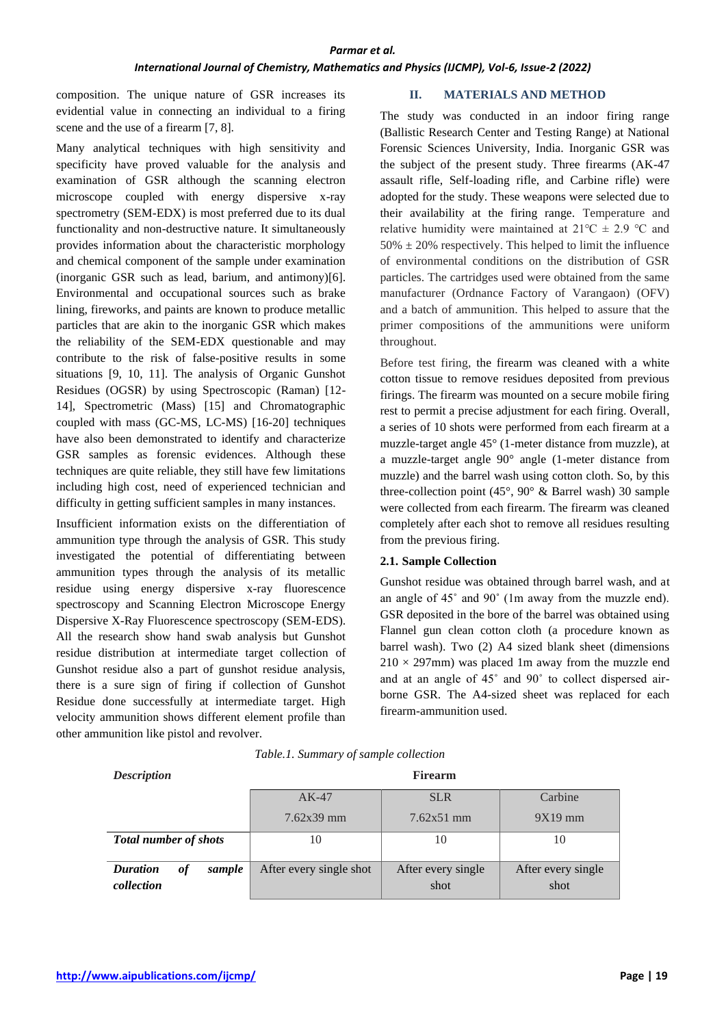## *International Journal of Chemistry, Mathematics and Physics (IJCMP), Vol-6, Issue-2 (2022)*

composition. The unique nature of GSR increases its evidential value in connecting an individual to a firing scene and the use of a firearm [7, 8].

Many analytical techniques with high sensitivity and specificity have proved valuable for the analysis and examination of GSR although the scanning electron microscope coupled with energy dispersive x-ray spectrometry (SEM-EDX) is most preferred due to its dual functionality and non-destructive nature. It simultaneously provides information about the characteristic morphology and chemical component of the sample under examination (inorganic GSR such as lead, barium, and antimony)[6]. Environmental and occupational sources such as brake lining, fireworks, and paints are known to produce metallic particles that are akin to the inorganic GSR which makes the reliability of the SEM-EDX questionable and may contribute to the risk of false-positive results in some situations [9, 10, 11]. The analysis of Organic Gunshot Residues (OGSR) by using Spectroscopic (Raman) [12- 14], Spectrometric (Mass) [15] and Chromatographic coupled with mass (GC-MS, LC-MS) [16-20] techniques have also been demonstrated to identify and characterize GSR samples as forensic evidences. Although these techniques are quite reliable, they still have few limitations including high cost, need of experienced technician and difficulty in getting sufficient samples in many instances.

Insufficient information exists on the differentiation of ammunition type through the analysis of GSR. This study investigated the potential of differentiating between ammunition types through the analysis of its metallic residue using energy dispersive x-ray fluorescence spectroscopy and Scanning Electron Microscope Energy Dispersive X-Ray Fluorescence spectroscopy (SEM-EDS). All the research show hand swab analysis but Gunshot residue distribution at intermediate target collection of Gunshot residue also a part of gunshot residue analysis, there is a sure sign of firing if collection of Gunshot Residue done successfully at intermediate target. High velocity ammunition shows different element profile than other ammunition like pistol and revolver.

### **II. MATERIALS AND METHOD**

The study was conducted in an indoor firing range (Ballistic Research Center and Testing Range) at National Forensic Sciences University, India. Inorganic GSR was the subject of the present study. Three firearms (AK-47 assault rifle, Self-loading rifle, and Carbine rifle) were adopted for the study. These weapons were selected due to their availability at the firing range. Temperature and relative humidity were maintained at  $21^{\circ}C \pm 2.9^{\circ}C$  and  $50\% \pm 20\%$  respectively. This helped to limit the influence of environmental conditions on the distribution of GSR particles. The cartridges used were obtained from the same manufacturer (Ordnance Factory of Varangaon) (OFV) and a batch of ammunition. This helped to assure that the primer compositions of the ammunitions were uniform throughout.

Before test firing, the firearm was cleaned with a white cotton tissue to remove residues deposited from previous firings. The firearm was mounted on a secure mobile firing rest to permit a precise adjustment for each firing. Overall, a series of 10 shots were performed from each firearm at a muzzle-target angle 45° (1-meter distance from muzzle), at a muzzle-target angle 90° angle (1-meter distance from muzzle) and the barrel wash using cotton cloth. So, by this three-collection point  $(45^{\circ}, 90^{\circ} \&$  Barrel wash) 30 sample were collected from each firearm. The firearm was cleaned completely after each shot to remove all residues resulting from the previous firing.

## **2.1. Sample Collection**

Gunshot residue was obtained through barrel wash, and at an angle of 45˚ and 90˚ (1m away from the muzzle end). GSR deposited in the bore of the barrel was obtained using Flannel gun clean cotton cloth (a procedure known as barrel wash). Two (2) A4 sized blank sheet (dimensions  $210 \times 297$ mm) was placed 1m away from the muzzle end and at an angle of 45˚ and 90˚ to collect dispersed airborne GSR. The A4-sized sheet was replaced for each firearm-ammunition used.

| <b>Description</b>                            | <b>Firearm</b>          |                            |                            |
|-----------------------------------------------|-------------------------|----------------------------|----------------------------|
|                                               | $AK-47$                 | <b>SLR</b>                 | Carbine                    |
|                                               | $7.62x39$ mm            | $7.62x51$ mm               | $9X19$ mm                  |
| <b>Total number of shots</b>                  | 10                      | 10                         | 10                         |
| <b>Duration</b><br>sample<br>оf<br>collection | After every single shot | After every single<br>shot | After every single<br>shot |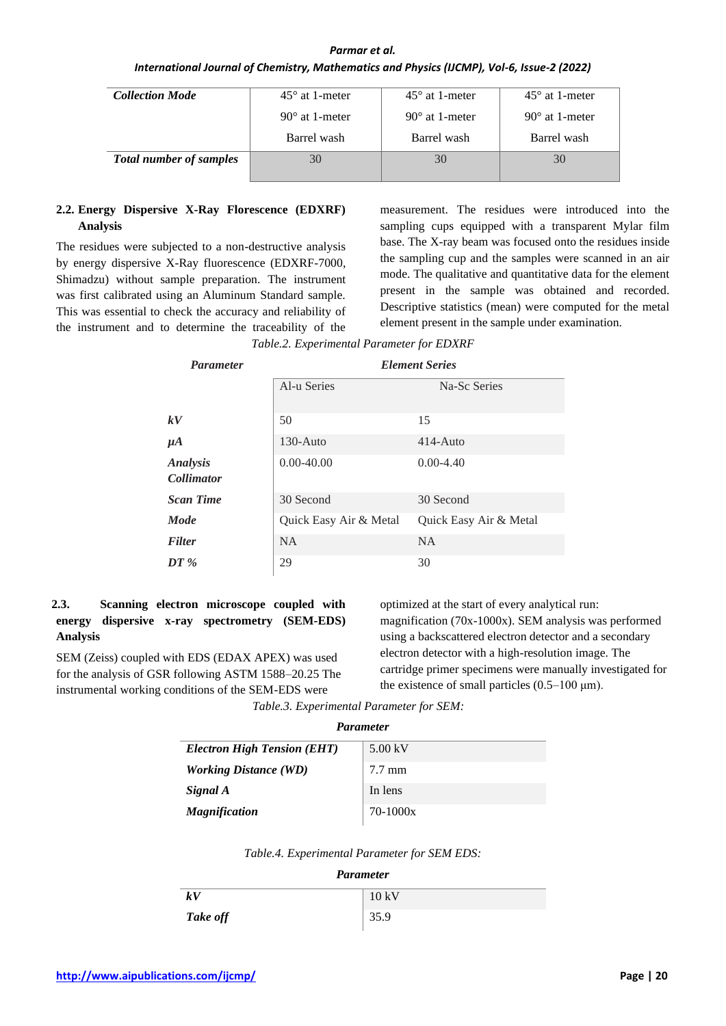## *Parmar et al.*

## *International Journal of Chemistry, Mathematics and Physics (IJCMP), Vol-6, Issue-2 (2022)*

| <b>Collection Mode</b>         | $45^{\circ}$ at 1-meter | $45^{\circ}$ at 1-meter | $45^{\circ}$ at 1-meter |
|--------------------------------|-------------------------|-------------------------|-------------------------|
|                                | $90^{\circ}$ at 1-meter | $90^{\circ}$ at 1-meter | $90^{\circ}$ at 1-meter |
|                                | Barrel wash             | Barrel wash             | Barrel wash             |
| <b>Total number of samples</b> | 30                      | 30                      | 30                      |

## **2.2. Energy Dispersive X-Ray Florescence (EDXRF) Analysis**

The residues were subjected to a non-destructive analysis by energy dispersive X-Ray fluorescence (EDXRF-7000, Shimadzu) without sample preparation. The instrument was first calibrated using an Aluminum Standard sample. This was essential to check the accuracy and reliability of the instrument and to determine the traceability of the

measurement. The residues were introduced into the sampling cups equipped with a transparent Mylar film base. The X-ray beam was focused onto the residues inside the sampling cup and the samples were scanned in an air mode. The qualitative and quantitative data for the element present in the sample was obtained and recorded. Descriptive statistics (mean) were computed for the metal element present in the sample under examination.

|  | Table.2. Experimental Parameter for EDXRF |
|--|-------------------------------------------|
|--|-------------------------------------------|

| <b>Parameter</b>                     | <b>Element Series</b>  |                        |
|--------------------------------------|------------------------|------------------------|
|                                      | Al-u Series            | Na-Sc Series           |
| kV                                   | 50                     | 15                     |
| $\mu A$                              | $130 - \text{Auto}$    | $414 - \text{Auto}$    |
| <b>Analysis</b><br><b>Collimator</b> | $0.00 - 40.00$         | $0.00 - 4.40$          |
| <b>Scan Time</b>                     | 30 Second              | 30 Second              |
| <b>Mode</b>                          | Quick Easy Air & Metal | Quick Easy Air & Metal |
| <b>Filter</b>                        | <b>NA</b>              | <b>NA</b>              |
| $DT\%$                               | 29                     | 30                     |

# **2.3. Scanning electron microscope coupled with energy dispersive x-ray spectrometry (SEM-EDS) Analysis**

SEM (Zeiss) coupled with EDS (EDAX APEX) was used for the analysis of GSR following ASTM 1588–20.25 The instrumental working conditions of the SEM-EDS were

optimized at the start of every analytical run: magnification (70x-1000x). SEM analysis was performed using a backscattered electron detector and a secondary electron detector with a high-resolution image. The cartridge primer specimens were manually investigated for the existence of small particles (0.5–100 μm).

*Table.3. Experimental Parameter for SEM:*

| <b>Electron High Tension (EHT)</b> | 5.00 kV          |
|------------------------------------|------------------|
| <i>Working Distance (WD)</i>       | $7.7 \text{ mm}$ |
| Signal A                           | In lens          |
| <b>Magnification</b>               | $70 - 1000x$     |

*Table.4. Experimental Parameter for SEM EDS:*

# *Parameter*

| kV       | 10 kV |
|----------|-------|
| Take off | 35.9  |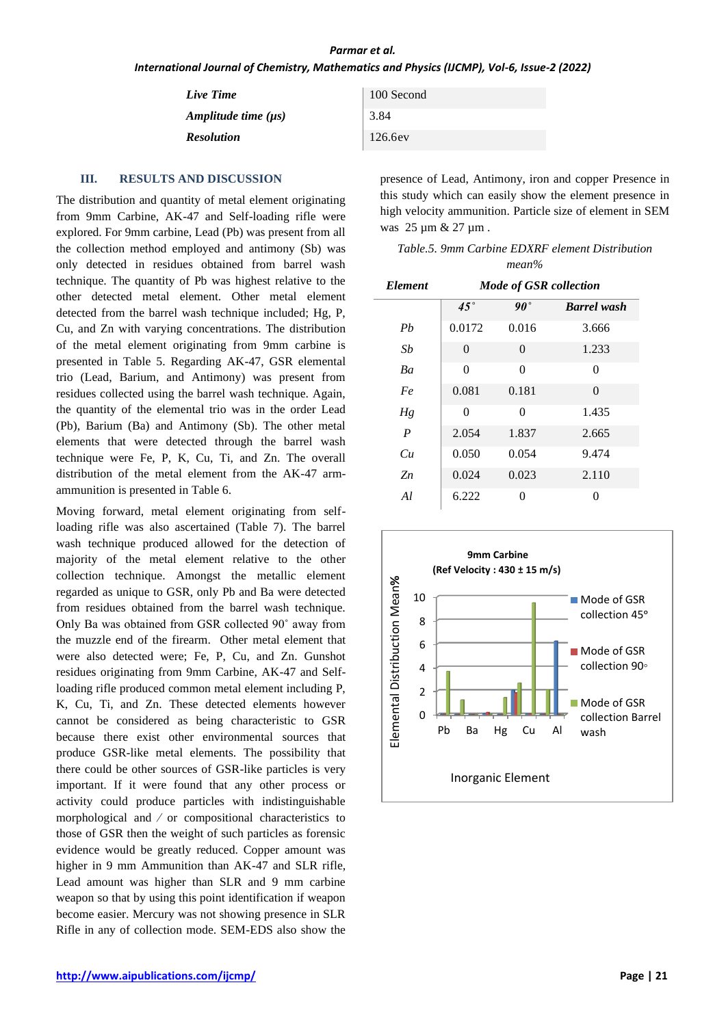#### *Parmar et al.*

*International Journal of Chemistry, Mathematics and Physics (IJCMP), Vol-6, Issue-2 (2022)*

| Live Time                | 100 Second |
|--------------------------|------------|
| Amplitude time $(\mu s)$ | 3.84       |
| <b>Resolution</b>        | 126.6ev    |

### **III. RESULTS AND DISCUSSION**

The distribution and quantity of metal element originating from 9mm Carbine, AK-47 and Self-loading rifle were explored. For 9mm carbine, Lead (Pb) was present from all the collection method employed and antimony (Sb) was only detected in residues obtained from barrel wash technique. The quantity of Pb was highest relative to the other detected metal element. Other metal element detected from the barrel wash technique included; Hg, P, Cu, and Zn with varying concentrations. The distribution of the metal element originating from 9mm carbine is presented in Table 5. Regarding AK-47, GSR elemental trio (Lead, Barium, and Antimony) was present from residues collected using the barrel wash technique. Again, the quantity of the elemental trio was in the order Lead (Pb), Barium (Ba) and Antimony (Sb). The other metal elements that were detected through the barrel wash technique were Fe, P, K, Cu, Ti, and Zn. The overall distribution of the metal element from the AK-47 armammunition is presented in Table 6.

Moving forward, metal element originating from selfloading rifle was also ascertained (Table 7). The barrel wash technique produced allowed for the detection of majority of the metal element relative to the other collection technique. Amongst the metallic element regarded as unique to GSR, only Pb and Ba were detected from residues obtained from the barrel wash technique. Only Ba was obtained from GSR collected 90˚ away from the muzzle end of the firearm. Other metal element that were also detected were; Fe, P, Cu, and Zn. Gunshot residues originating from 9mm Carbine, AK-47 and Selfloading rifle produced common metal element including P, K, Cu, Ti, and Zn. These detected elements however cannot be considered as being characteristic to GSR because there exist other environmental sources that produce GSR-like metal elements. The possibility that there could be other sources of GSR-like particles is very important. If it were found that any other process or activity could produce particles with indistinguishable morphological and ⁄ or compositional characteristics to those of GSR then the weight of such particles as forensic evidence would be greatly reduced. Copper amount was higher in 9 mm Ammunition than AK-47 and SLR rifle, Lead amount was higher than SLR and 9 mm carbine weapon so that by using this point identification if weapon become easier. Mercury was not showing presence in SLR Rifle in any of collection mode. SEM-EDS also show the

presence of Lead, Antimony, iron and copper Presence in this study which can easily show the element presence in high velocity ammunition. Particle size of element in SEM was 25 µm & 27 µm .

|          | Table.5. 9mm Carbine EDXRF element Distribution |
|----------|-------------------------------------------------|
| $mean\%$ |                                                 |

| Element          | <b>Mode of GSR collection</b> |              |                    |
|------------------|-------------------------------|--------------|--------------------|
|                  | $45^{\circ}$                  | $90^{\circ}$ | <b>Barrel</b> wash |
| Ph               | 0.0172                        | 0.016        | 3.666              |
| Sb               | 0                             | 0            | 1.233              |
| Ba               | 0                             | 0            | 0                  |
| Fe               | 0.081                         | 0.181        | 0                  |
| Hg               | 0                             | $\theta$     | 1.435              |
| $\boldsymbol{P}$ | 2.054                         | 1.837        | 2.665              |
| Cu               | 0.050                         | 0.054        | 9.474              |
| $Z_n$            | 0.024                         | 0.023        | 2.110              |
| Al               | 6.222                         | 0            | 0                  |

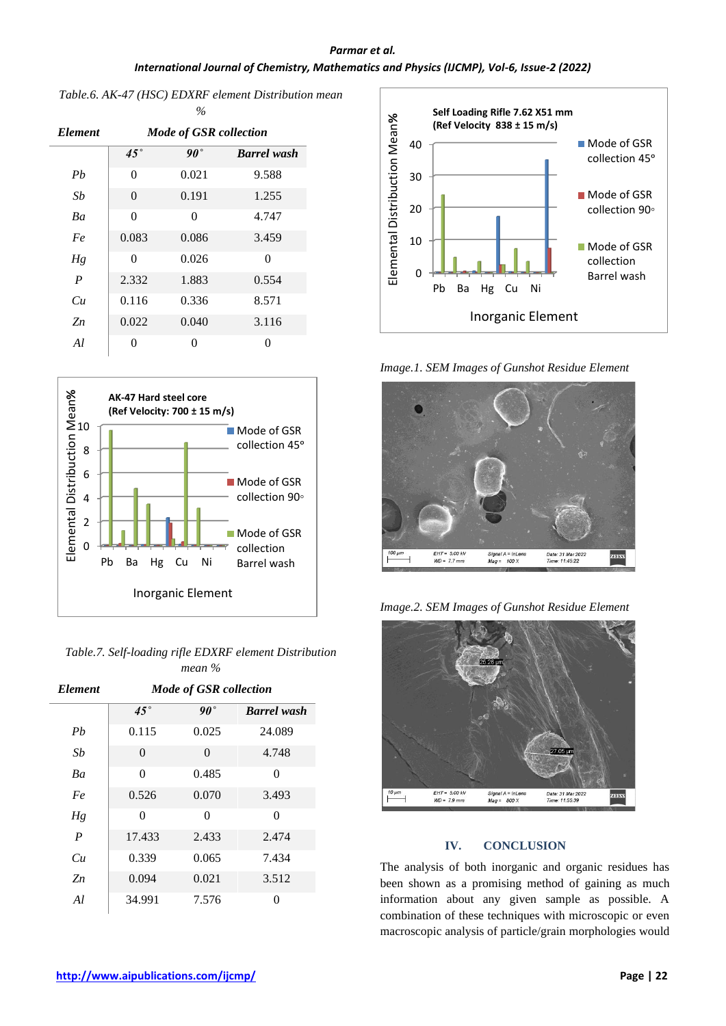# *Parmar et al. International Journal of Chemistry, Mathematics and Physics (IJCMP), Vol-6, Issue-2 (2022)*

#### *Table.6. AK-47 (HSC) EDXRF element Distribution mean %*

| <i><b>Element</b></i> | <b>Mode of GSR collection</b> |              |                    |
|-----------------------|-------------------------------|--------------|--------------------|
|                       | $45^{\circ}$                  | $90^{\circ}$ | <b>Barrel</b> wash |
| Pb                    | $\theta$                      | 0.021        | 9.588              |
| Sb                    | $\theta$                      | 0.191        | 1.255              |
| Ba                    | $\theta$                      | $\Omega$     | 4.747              |
| Fe                    | 0.083                         | 0.086        | 3.459              |
| Hg                    | 0                             | 0.026        | 0                  |
| $\overline{P}$        | 2.332                         | 1.883        | 0.554              |
| Cи                    | 0.116                         | 0.336        | 8.571              |
| $Z_n$                 | 0.022                         | 0.040        | 3.116              |
| Al.                   | 0                             | 0            | 0                  |



| Table.7. Self-loading rifle EDXRF element Distribution |
|--------------------------------------------------------|
| mean %                                                 |

| <b>Element</b>   | <b>Mode of GSR collection</b> |       |                    |  |
|------------------|-------------------------------|-------|--------------------|--|
|                  | $45^{\circ}$                  | 90°   | <b>Barrel</b> wash |  |
| Ph               | 0.115                         | 0.025 | 24.089             |  |
| Sb               | 0                             | 0     | 4.748              |  |
| Ba               | $\Omega$                      | 0.485 | 0                  |  |
| Fe               | 0.526                         | 0.070 | 3.493              |  |
| Hg               | $\Omega$                      | 0     | 0                  |  |
| $\boldsymbol{P}$ | 17.433                        | 2.433 | 2.474              |  |
| Cи               | 0.339                         | 0.065 | 7.434              |  |
| $Z_n$            | 0.094                         | 0.021 | 3.512              |  |
| Al               | 34.991                        | 7.576 | 0                  |  |



*Image.1. SEM Images of Gunshot Residue Element*



*Image.2. SEM Images of Gunshot Residue Element*



# **IV. CONCLUSION**

The analysis of both inorganic and organic residues has been shown as a promising method of gaining as much information about any given sample as possible. A combination of these techniques with microscopic or even macroscopic analysis of particle/grain morphologies would